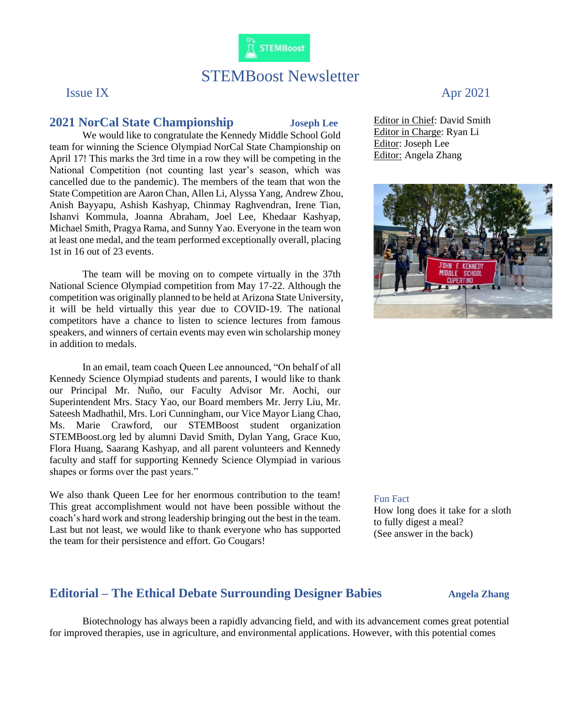

# STEMBoost Newsletter

### **2021 NorCal State Championship Joseph Lee**

We would like to congratulate the Kennedy Middle School Gold team for winning the Science Olympiad NorCal State Championship on April 17! This marks the 3rd time in a row they will be competing in the National Competition (not counting last year's season, which was cancelled due to the pandemic). The members of the team that won the State Competition are Aaron Chan, Allen Li, Alyssa Yang, Andrew Zhou, Anish Bayyapu, Ashish Kashyap, Chinmay Raghvendran, Irene Tian, Ishanvi Kommula, Joanna Abraham, Joel Lee, Khedaar Kashyap, Michael Smith, Pragya Rama, and Sunny Yao. Everyone in the team won at least one medal, and the team performed exceptionally overall, placing 1st in 16 out of 23 events.

The team will be moving on to compete virtually in the 37th National Science Olympiad competition from May 17-22. Although the competition was originally planned to be held at Arizona State University, it will be held virtually this year due to COVID-19. The national competitors have a chance to listen to science lectures from famous speakers, and winners of certain events may even win scholarship money in addition to medals.

In an email, team coach Queen Lee announced, "On behalf of all Kennedy Science Olympiad students and parents, I would like to thank our Principal Mr. Nuño, our Faculty Advisor Mr. Aochi, our Superintendent Mrs. Stacy Yao, our Board members Mr. Jerry Liu, Mr. Sateesh Madhathil, Mrs. Lori Cunningham, our Vice Mayor Liang Chao, Ms. Marie Crawford, our STEMBoost student organization STEMBoost.org led by alumni David Smith, Dylan Yang, Grace Kuo, Flora Huang, Saarang Kashyap, and all parent volunteers and Kennedy faculty and staff for supporting Kennedy Science Olympiad in various shapes or forms over the past years."

We also thank Queen Lee for her enormous contribution to the team! This great accomplishment would not have been possible without the coach's hard work and strong leadership bringing out the best in the team. Last but not least, we would like to thank everyone who has supported the team for their persistence and effort. Go Cougars!

## Issue IX Apr 2021

Editor in Chief: David Smith Editor in Charge: Ryan Li Editor: Joseph Lee Editor: Angela Zhang



#### Fun Fact

How long does it take for a sloth to fully digest a meal? (See answer in the back)

### **Editorial** – The Ethical Debate Surrounding Designer Babies **Angela Zhang**

Biotechnology has always been a rapidly advancing field, and with its advancement comes great potential for improved therapies, use in agriculture, and environmental applications. However, with this potential comes